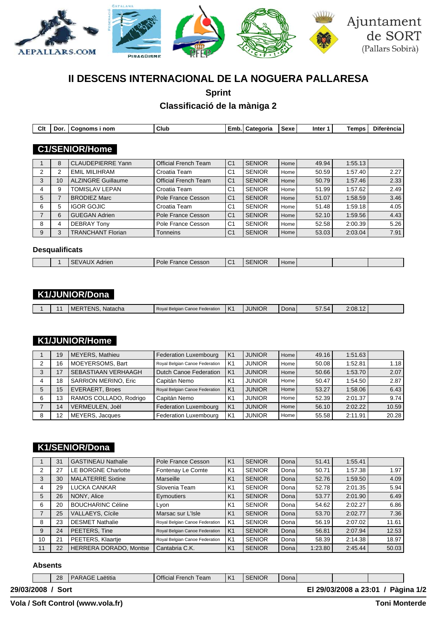

# **II DESCENS INTERNACIONAL DE LA NOGUERA PALLARESA**

**Sprint**

**Classificació de la màniga 2**

| Clt | Dor.           | Cognoms i nom             | Club                        | Emb.           | <b>Categoria</b> | Sexe | Inter <sub>1</sub> | Temps   | <b>Diferència</b> |
|-----|----------------|---------------------------|-----------------------------|----------------|------------------|------|--------------------|---------|-------------------|
|     |                |                           |                             |                |                  |      |                    |         |                   |
|     |                | <b>C1/SENIOR/Home</b>     |                             |                |                  |      |                    |         |                   |
|     |                |                           |                             |                |                  |      |                    |         |                   |
|     | 8              | <b>CLAUDEPIERRE Yann</b>  | <b>Official French Team</b> | C <sub>1</sub> | <b>SENIOR</b>    | Home | 49.94              | 1:55.13 |                   |
| 2   | 2              | <b>EMIL MILIHRAM</b>      | Croatia Team                | C <sub>1</sub> | <b>SENIOR</b>    | Home | 50.59              | 1:57.40 | 2.27              |
| 3   | 10             | <b>ALZINGRE Guillaume</b> | <b>Official French Team</b> | C <sub>1</sub> | <b>SENIOR</b>    | Home | 50.79              | 1:57.46 | 2.33              |
| 4   | 9              | <b>TOMISLAV LEPAN</b>     | Croatia Team                | C <sub>1</sub> | <b>SENIOR</b>    | Home | 51.99              | 1:57.62 | 2.49              |
| 5   | $\overline{7}$ | <b>BRODIEZ Marc</b>       | Pole France Cesson          | C <sub>1</sub> | <b>SENIOR</b>    | Home | 51.07              | 1:58.59 | 3.46              |
| 6   | 5              | <b>IGOR GOJIC</b>         | Croatia Team                | C <sub>1</sub> | <b>SENIOR</b>    | Home | 51.48              | 1:59.18 | 4.05              |
|     | 6              | <b>GUEGAN Adrien</b>      | Pole France Cesson          | C <sub>1</sub> | <b>SENIOR</b>    | Home | 52.10              | 1:59.56 | 4.43              |
| 8   | 4              | <b>DEBRAY Tony</b>        | Pole France Cesson          | C <sub>1</sub> | <b>SENIOR</b>    | Home | 52.58              | 2:00.39 | 5.26              |
| 9   | 3              | <b>TRANCHANT Florian</b>  | <b>Tonneins</b>             | C <sub>1</sub> | <b>SENIOR</b>    | Home | 53.03              | 2:03.04 | 7.91              |

#### **Desqualificats**

|  | $\cdots$<br>י<br>Adrien | Cesson<br>Pole<br>-rance | r, | <b>SENIOR</b> | Home I |  |  |
|--|-------------------------|--------------------------|----|---------------|--------|--|--|

## **K1/JUNIOR/Dona**

|  |  |  | ERTENS. Natacha<br>-MF | Roval Belgian Canoe Federation | $\mathcal{L}$<br>$\mathsf{A}$ | <b>JUNIOR</b> | Dona l | $-$<br>$31.54^{\circ}$ | 2:08.12 |  |
|--|--|--|------------------------|--------------------------------|-------------------------------|---------------|--------|------------------------|---------|--|
|--|--|--|------------------------|--------------------------------|-------------------------------|---------------|--------|------------------------|---------|--|

## **K1/JUNIOR/Home**

|   | 19 | MEYERS, Mathieu             | Federation Luxembourg          | K <sub>1</sub> | <b>JUNIOR</b> | Home I | 49.16 | 1:51.63 |       |
|---|----|-----------------------------|--------------------------------|----------------|---------------|--------|-------|---------|-------|
| 2 | 16 | MOEYERSOMS, Bart            | Royal Belgian Canoe Federation | K1             | <b>JUNIOR</b> | Home   | 50.08 | 1:52.81 | 1.18  |
|   | 17 | SEBASTIAAN VERHAAGH         | Dutch Canoe Federation         | K <sub>1</sub> | <b>JUNIOR</b> | Home I | 50.66 | 1:53.70 | 2.07  |
|   | 18 | <b>SARRION MERINO, Eric</b> | Capitán Nemo                   | K <sub>1</sub> | <b>JUNIOR</b> | Home   | 50.47 | 1:54.50 | 2.87  |
| 5 | 15 | <b>EVERAERT, Broes</b>      | Royal Belgian Canoe Federation | K <sub>1</sub> | <b>JUNIOR</b> | Home I | 53.27 | 1:58.06 | 6.43  |
| 6 | 13 | RAMOS COLLADO, Rodrigo      | Capitán Nemo                   | K1             | <b>JUNIOR</b> | Home   | 52.39 | 2:01.37 | 9.74  |
|   | 14 | VERMEULEN, Joël             | Federation Luxembourg          | K <sub>1</sub> | <b>JUNIOR</b> | Home I | 56.10 | 2:02.22 | 10.59 |
| 8 | 12 | MEYERS, Jacques             | <b>Federation Luxembourg</b>   | K1             | <b>JUNIOR</b> | Home   | 55.58 | 2:11.91 | 20.28 |

## **K1/SENIOR/Dona**

|    | 31 | <b>GASTINEAU Nathalie</b>     | Pole France Cesson             | K <sub>1</sub> | <b>SENIOR</b> | Donal | 51.41   | 1:55.41 |       |
|----|----|-------------------------------|--------------------------------|----------------|---------------|-------|---------|---------|-------|
| 2  | 27 | LE BORGNE Charlotte           | Fontenay Le Comte              | K1             | <b>SENIOR</b> | Dona  | 50.71   | 1:57.38 | 1.97  |
| 3  | 30 | <b>MALATERRE Sixtine</b>      | Marseille                      | K <sub>1</sub> | <b>SENIOR</b> | Dona  | 52.76   | 1:59.50 | 4.09  |
| 4  | 29 | LUCKA CANKAR                  | Slovenia Team                  | K <sub>1</sub> | <b>SENIOR</b> | Dona  | 52.78   | 2:01.35 | 5.94  |
| 5  | 26 | NONY, Alice                   | Eymoutiers                     | K <sub>1</sub> | <b>SENIOR</b> | Dona  | 53.77   | 2:01.90 | 6.49  |
| 6  | 20 | <b>BOUCHARINC Céline</b>      | Lyon                           | K <sub>1</sub> | <b>SENIOR</b> | Dona  | 54.62   | 2:02.27 | 6.86  |
|    | 25 | <b>VALLAEYS, Cícile</b>       | Marsac sur L'Isle              | K <sub>1</sub> | <b>SENIOR</b> | Donal | 53.70   | 2:02.77 | 7.36  |
| 8  | 23 | <b>DESMET Nathalie</b>        | Royal Belgian Canoe Federation | K1             | <b>SENIOR</b> | Dona  | 56.19   | 2:07.02 | 11.61 |
| 9  | 24 | PEETERS, Tine                 | Royal Belgian Canoe Federation | K <sub>1</sub> | <b>SENIOR</b> | Donal | 56.81   | 2:07.94 | 12.53 |
| 10 | 21 | PEETERS, Klaartje             | Royal Belgian Canoe Federation | K1             | <b>SENIOR</b> | Dona  | 58.39   | 2:14.38 | 18.97 |
| 11 | 22 | <b>HERRERA DORADO, Montse</b> | Cantabria C.K.                 | K <sub>1</sub> | <b>SENIOR</b> | Dona  | 1:23.80 | 2:45.44 | 50.03 |

#### **Absents**

|            | 28   | I PARAGE Laëtitia | Official French Team | K1 | SENIOR <sup>1</sup> | Donal |                                    |  |
|------------|------|-------------------|----------------------|----|---------------------|-------|------------------------------------|--|
| 29/03/2008 | Sort |                   |                      |    |                     |       | El 29/03/2008 a 23:01 / Pàgina 1/2 |  |